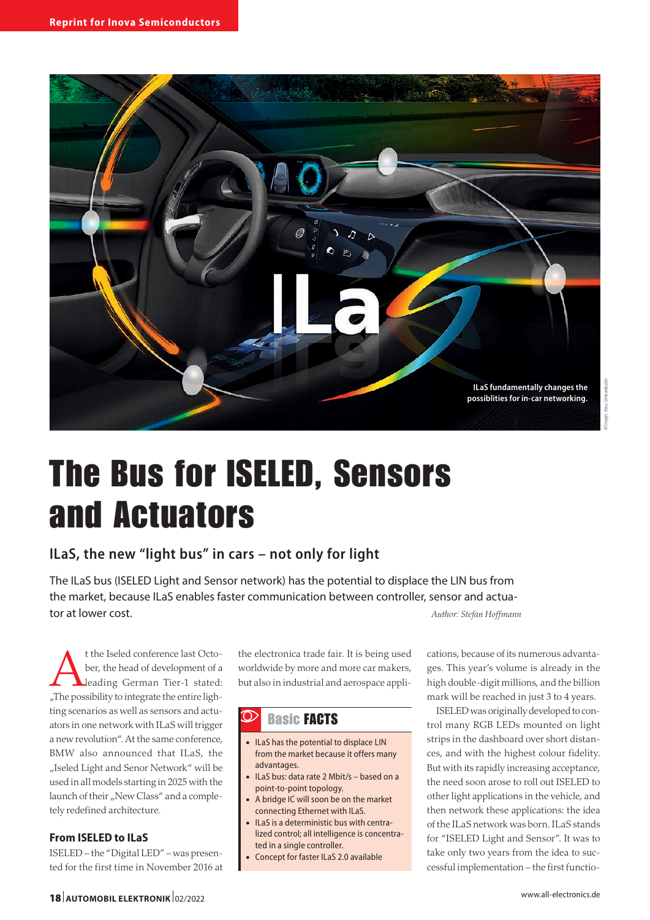

# The Bus for ISELED, Sensors and Actuators

## **ILaS, the new "light bus" in cars – not only for light**

The ILaS bus (ISELED Light and Sensor network) has the potential to displace the LIN bus from the market, because ILaS enables faster communication between controller, sensor and actuator at lower cost. *Author: Stefan Hoffmann*

t the Iseled conference last Octo-<br>ber, the head of development of a<br>leading German Tier-1 stated: ber, the head of development of a leading German Tier-1 stated: "The possibility to integrate the entire lighting scenarios as well as sensors and actuators in one network with ILaS will trigger a new revolution". At the same conference, BMW also announced that ILaS, the "Iseled Light and Senor Network" will be used in all models starting in 2025 with the launch of their "New Class" and a completely redefined architecture.

#### **From ISELED to ILaS**

ISELED – the "Digital LED" – was presented for the first time in November 2016 at the electronica trade fair. It is being used worldwide by more and more car makers, but also in industrial and aerospace appli-

#### $\mathcal{D}$ Basic FACTS

- ILaS has the potential to displace LIN from the market because it offers many advantages.
- ILaS bus: data rate 2 Mbit/s based on a point-to-point topology.
- A bridge IC will soon be on the market connecting Ethernet with ILaS.
- ILaS is a deterministic bus with centralized control; all intelligence is concentrated in a single controller.
- Concept for faster ILaS 2.0 available

cations, because of its numerous advantages. This year's volume is already in the high double-digit millions, and the billion mark will be reached in just 3 to 4 years.

ISELED was originally developed to control many RGB LEDs mounted on light strips in the dashboard over short distances, and with the highest colour fidelity. But with its rapidly increasing acceptance, the need soon arose to roll out ISELED to other light applications in the vehicle, and then network these applications: the idea of the ILaS network was born. ILaS stands for "ISELED Light and Sensor". It was to take only two years from the idea to successful implementation – the first functio-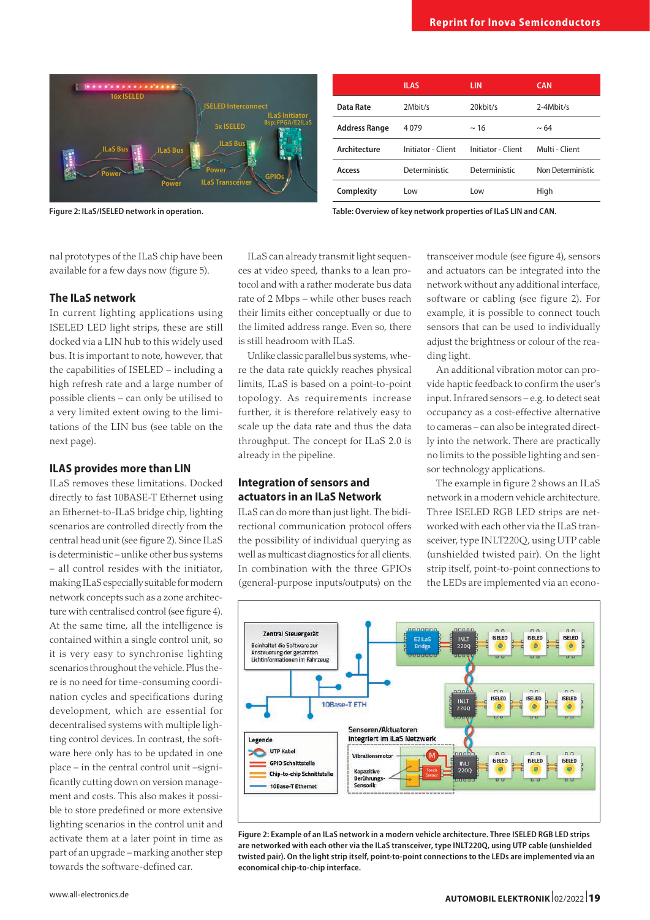

**Figure 2: ILaS/ISELED network in operation.**

|                      | <b>ILAS</b>        | <b>LIN</b>         | <b>CAN</b>        |
|----------------------|--------------------|--------------------|-------------------|
| Data Rate            | 2Mbit/s            | 20kbit/s           | 2-4Mbit/s         |
| <b>Address Range</b> | 4079               | $~\sim$ 16         | $~\sim 64$        |
| Architecture         | Initiator - Client | Initiator - Client | Multi - Client    |
| Access               | Deterministic      | Deterministic      | Non Deterministic |
| Complexity           | Low                | Low                | High              |
|                      |                    |                    |                   |

**Table: Overview of key network properties of ILaS LIN and CAN.**

nal prototypes of the ILaS chip have been available for a few days now (figure 5).

#### **The ILaS network**

In current lighting applications using ISELED LED light strips, these are still docked via a LIN hub to this widely used bus. It is important to note, however, that the capabilities of ISELED – including a high refresh rate and a large number of possible clients – can only be utilised to a very limited extent owing to the limitations of the LIN bus (see table on the next page).

#### **ILAS provides more than LIN**

ILaS removes these limitations. Docked directly to fast 10BASE-T Ethernet using an Ethernet-to-ILaS bridge chip, lighting scenarios are controlled directly from the central head unit (see figure 2). Since ILaS is deterministic – unlike other bus systems – all control resides with the initiator, making ILaS especially suitable for modern network concepts such as a zone architecture with centralised control (see figure 4). At the same time, all the intelligence is contained within a single control unit, so it is very easy to synchronise lighting scenarios throughout the vehicle. Plus there is no need for time-consuming coordination cycles and specifications during development, which are essential for decentralised systems with multiple lighting control devices. In contrast, the software here only has to be updated in one place – in the central control unit –significantly cutting down on version management and costs. This also makes it possible to store predefined or more extensive lighting scenarios in the control unit and activate them at a later point in time as part of an upgrade – marking another step towards the software-defined car.

ILaS can already transmit light sequences at video speed, thanks to a lean protocol and with a rather moderate bus data rate of 2 Mbps – while other buses reach their limits either conceptually or due to the limited address range. Even so, there is still headroom with ILaS.

Unlike classic parallel bus systems, where the data rate quickly reaches physical limits, ILaS is based on a point-to-point topology. As requirements increase further, it is therefore relatively easy to scale up the data rate and thus the data throughput. The concept for ILaS 2.0 is already in the pipeline.

#### **Integration of sensors and actuators in an ILaS Network**

ILaS can do more than just light. The bidirectional communication protocol offers the possibility of individual querying as well as multicast diagnostics for all clients. In combination with the three GPIOs (general-purpose inputs/outputs) on the

transceiver module (see figure 4), sensors and actuators can be integrated into the network without any additional interface, software or cabling (see figure 2). For example, it is possible to connect touch sensors that can be used to individually adjust the brightness or colour of the reading light.

An additional vibration motor can provide haptic feedback to confirm the user's input. Infrared sensors – e.g. to detect seat occupancy as a cost-effective alternative to cameras – can also be integrated directly into the network. There are practically no limits to the possible lighting and sensor technology applications.

The example in figure 2 shows an ILaS network in a modern vehicle architecture. Three ISELED RGB LED strips are networked with each other via the ILaS transceiver, type INLT220Q, using UTP cable (unshielded twisted pair). On the light strip itself, point-to-point connections to the LEDs are implemented via an econo-



**Figure 2: Example of an ILaS network in a modern vehicle architecture. Three ISELED RGB LED strips are networked with each other via the ILaS transceiver, type INLT220Q, using UTP cable (unshielded twisted pair). On the light strip itself, point-to-point connections to the LEDs are implemented via an economical chip-to-chip interface.**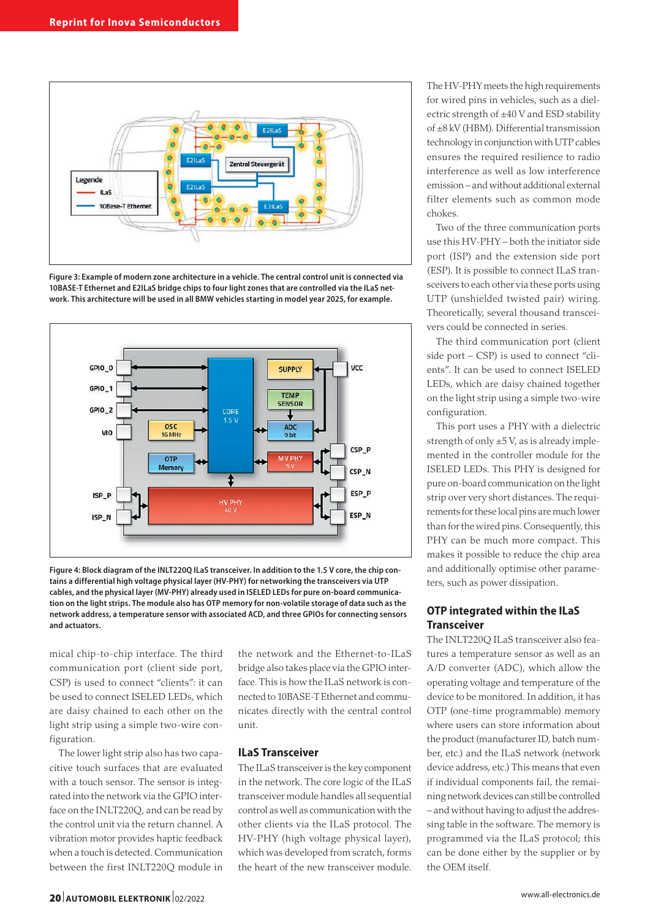

**Figure 3: Example of modern zone architecture in a vehicle. The central control unit is connected via 10BASE-T Ethernet and E2ILaS bridge chips to four light zones that are controlled via the ILaS network. This architecture will be used in all BMW vehicles starting in model year 2025, for example.**



**Figure 4: Block diagram of the INLT220Q ILaS transceiver. In addition to the 1.5 V core, the chip contains a differential high voltage physical layer (HV-PHY) for networking the transceivers via UTP cables, and the physical layer (MV-PHY) already used in ISELED LEDs for pure on-board communication on the light strips. The module also has OTP memory for non-volatile storage of data such as the network address, a temperature sensor with associated ACD, and three GPIOs for connecting sensors and actuators.**

mical chip-to-chip interface. The third communication port (client side port, CSP) is used to connect "clients": it can be used to connect ISELED LEDs, which are daisy chained to each other on the light strip using a simple two-wire configuration.

The lower light strip also has two capacitive touch surfaces that are evaluated with a touch sensor. The sensor is integrated into the network via the GPIO interface on the INLT220Q, and can be read by the control unit via the return channel. A vibration motor provides haptic feedback when a touch is detected. Communication between the first INLT220Q module in

the network and the Ethernet-to-ILaS bridge also takes place via the GPIO interface. This is how the ILaS network is connected to 10BASE-T Ethernet and communicates directly with the central control unit.

#### **ILaS Transceiver**

The ILaS transceiver is the key component in the network. The core logic of the ILaS transceiver module handles all sequential control as well as communication with the other clients via the ILaS protocol. The HV-PHY (high voltage physical layer), which was developed from scratch, forms the heart of the new transceiver module.

The HV-PHY meets the high requirements for wired pins in vehicles, such as a dielectric strength of ±40 V and ESD stability of ±8 kV (HBM). Differential transmission technology in conjunction with UTP cables ensures the required resilience to radio interference as well as low interference emission – and without additional external filter elements such as common mode chokes.

Two of the three communication ports use this HV-PHY – both the initiator side port (ISP) and the extension side port (ESP). It is possible to connect ILaS transceivers to each other via these ports using UTP (unshielded twisted pair) wiring. Theoretically, several thousand transceivers could be connected in series.

The third communication port (client side port – CSP) is used to connect "clients". It can be used to connect ISELED LEDs, which are daisy chained together on the light strip using a simple two-wire configuration.

This port uses a PHY with a dielectric strength of only  $\pm$ 5 V, as is already implemented in the controller module for the ISELED LEDs. This PHY is designed for pure on-board communication on the light strip over very short distances. The requirements for these local pins are much lower than for the wired pins. Consequently, this PHY can be much more compact. This makes it possible to reduce the chip area and additionally optimise other parameters, such as power dissipation.

### **OTP integrated within the ILaS Transceiver**

The INLT220Q ILaS transceiver also features a temperature sensor as well as an A/D converter (ADC), which allow the operating voltage and temperature of the device to be monitored. In addition, it has OTP (one-time programmable) memory where users can store information about the product (manufacturer ID, batch number, etc.) and the ILaS network (network device address, etc.) This means that even if individual components fail, the remaining network devices can still be controlled – and without having to adjust the addressing table in the software. The memory is programmed via the ILaS protocol; this can be done either by the supplier or by the OEM itself.